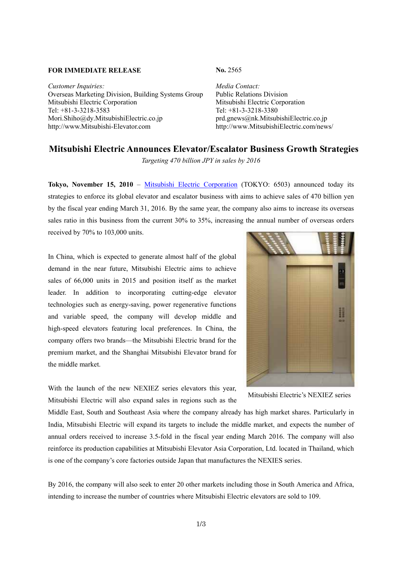## **FOR IMMEDIATE RELEASE No. 2565**

*Customer Inquiries: Media Contact:* Overseas Marketing Division, Building Systems Group Public Relations Division Mitsubishi Electric Corporation Mitsubishi Electric Corporation Tel: +81-3-3218-3583 Tel: +81-3-3218-3380 Mori.Shiho@dy.MitsubishiElectric.co.jp prd.gnews@nk.MitsubishiElectric.co.jp http://www.Mitsubishi-Elevator.com http://www.MitsubishiElectric.com/news/

## **Mitsubishi Electric Announces Elevator/Escalator Business Growth Strategies**

*Targeting 470 billion JPY in sales by 2016* 

**Tokyo, November 15, 2010** – Mitsubishi Electric Corporation (TOKYO: 6503) announced today its strategies to enforce its global elevator and escalator business with aims to achieve sales of 470 billion yen by the fiscal year ending March 31, 2016. By the same year, the company also aims to increase its overseas sales ratio in this business from the current 30% to 35%, increasing the annual number of overseas orders received by 70% to 103,000 units.

In China, which is expected to generate almost half of the global demand in the near future, Mitsubishi Electric aims to achieve sales of 66,000 units in 2015 and position itself as the market leader. In addition to incorporating cutting-edge elevator technologies such as energy-saving, power regenerative functions and variable speed, the company will develop middle and high-speed elevators featuring local preferences. In China, the company offers two brands—the Mitsubishi Electric brand for the premium market, and the Shanghai Mitsubishi Elevator brand for the middle market.

With the launch of the new NEXIEZ series elevators this year, Mitsubishi Electric will also expand sales in regions such as the



Mitsubishi Electric's NEXIEZ series

Middle East, South and Southeast Asia where the company already has high market shares. Particularly in India, Mitsubishi Electric will expand its targets to include the middle market, and expects the number of annual orders received to increase 3.5-fold in the fiscal year ending March 2016. The company will also reinforce its production capabilities at Mitsubishi Elevator Asia Corporation, Ltd. located in Thailand, which is one of the company's core factories outside Japan that manufactures the NEXIES series.

By 2016, the company will also seek to enter 20 other markets including those in South America and Africa, intending to increase the number of countries where Mitsubishi Electric elevators are sold to 109.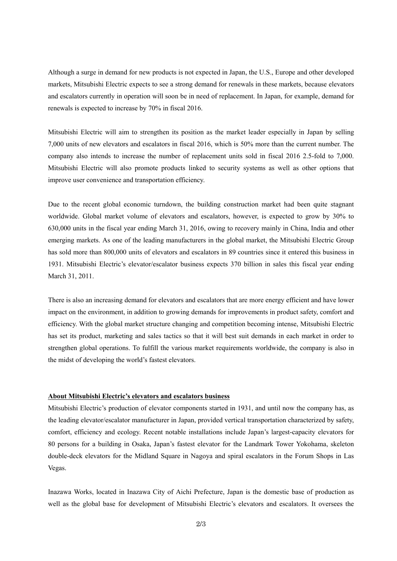Although a surge in demand for new products is not expected in Japan, the U.S., Europe and other developed markets, Mitsubishi Electric expects to see a strong demand for renewals in these markets, because elevators and escalators currently in operation will soon be in need of replacement. In Japan, for example, demand for renewals is expected to increase by 70% in fiscal 2016.

Mitsubishi Electric will aim to strengthen its position as the market leader especially in Japan by selling 7,000 units of new elevators and escalators in fiscal 2016, which is 50% more than the current number. The company also intends to increase the number of replacement units sold in fiscal 2016 2.5-fold to 7,000. Mitsubishi Electric will also promote products linked to security systems as well as other options that improve user convenience and transportation efficiency.

Due to the recent global economic turndown, the building construction market had been quite stagnant worldwide. Global market volume of elevators and escalators, however, is expected to grow by 30% to 630,000 units in the fiscal year ending March 31, 2016, owing to recovery mainly in China, India and other emerging markets. As one of the leading manufacturers in the global market, the Mitsubishi Electric Group has sold more than 800,000 units of elevators and escalators in 89 countries since it entered this business in 1931. Mitsubishi Electric's elevator/escalator business expects 370 billion in sales this fiscal year ending March 31, 2011.

There is also an increasing demand for elevators and escalators that are more energy efficient and have lower impact on the environment, in addition to growing demands for improvements in product safety, comfort and efficiency. With the global market structure changing and competition becoming intense, Mitsubishi Electric has set its product, marketing and sales tactics so that it will best suit demands in each market in order to strengthen global operations. To fulfill the various market requirements worldwide, the company is also in the midst of developing the world's fastest elevators.

## **About Mitsubishi Electric's elevators and escalators business**

Mitsubishi Electric's production of elevator components started in 1931, and until now the company has, as the leading elevator/escalator manufacturer in Japan, provided vertical transportation characterized by safety, comfort, efficiency and ecology. Recent notable installations include Japan's largest-capacity elevators for 80 persons for a building in Osaka, Japan's fastest elevator for the Landmark Tower Yokohama, skeleton double-deck elevators for the Midland Square in Nagoya and spiral escalators in the Forum Shops in Las Vegas.

Inazawa Works, located in Inazawa City of Aichi Prefecture, Japan is the domestic base of production as well as the global base for development of Mitsubishi Electric's elevators and escalators. It oversees the